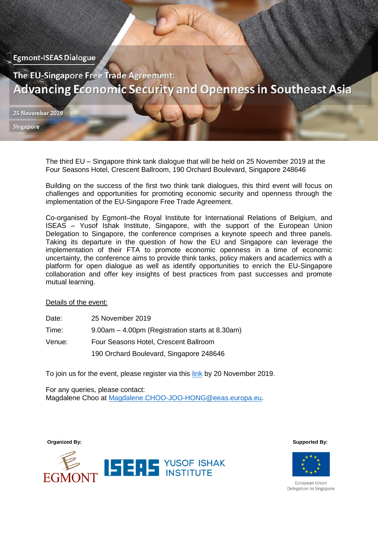**Egmont-ISEAS Dialogue** 

The EU-Singapore Free Trade Agreement: **Advancing Economic Security and Openness in Southeast Asia** 

25 November 2019

Singapore

The third EU – Singapore think tank dialogue that will be held on 25 November 2019 at the Four Seasons Hotel, Crescent Ballroom, 190 Orchard Boulevard, Singapore 248646

Building on the success of the first two think tank dialogues, this third event will focus on challenges and opportunities for promoting economic security and openness through the implementation of the EU-Singapore Free Trade Agreement.

Co-organised by Egmont–the Royal Institute for International Relations of Belgium, and ISEAS – Yusof Ishak Institute, Singapore, with the support of the European Union Delegation to Singapore, the conference comprises a keynote speech and three panels. Taking its departure in the question of how the EU and Singapore can leverage the implementation of their FTA to promote economic openness in a time of economic uncertainty, the conference aims to provide think tanks, policy makers and academics with a platform for open dialogue as well as identify opportunities to enrich the EU-Singapore collaboration and offer key insights of best practices from past successes and promote mutual learning.

at 8.30am)

## Details of the event:

| Date: | 25 November 2019                     |
|-------|--------------------------------------|
| Time: | 9.00am - 4.00pm (Registration starts |

- Venue: Four Seasons Hotel, Crescent Ballroom
	- 190 Orchard Boulevard, Singapore 248646

To join us for the event, please register via this [link](https://docs.google.com/forms/d/15ppZzz4TQkbci-rbYbE6s5ysHdJUrOgBZ_5WoxjZrF4/prefill) by 20 November 2019.

For any queries, please contact: Magdalene Choo at [Magdalene.CHOO-JOO-HONG@eeas.europa.eu.](mailto:Magdalene.CHOO-JOO-HONG@eeas.europa.eu)



**Organized By: Supported By:** 



European Union Delegation to Singapore